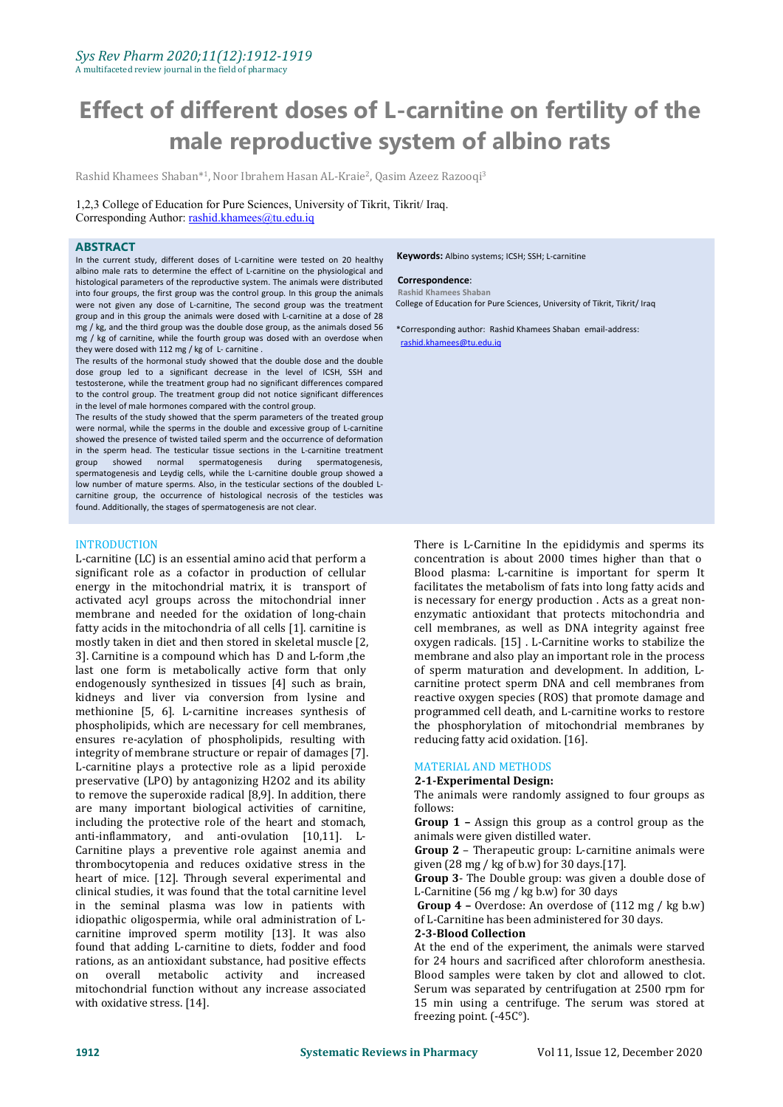# **Effect of different doses of L-carnitine on fertility of the male reproductive system of albino rats**

Rashid Khamees Shaban\*1, Noor Ibrahem Hasan AL-Kraie<sup>2</sup>, Qasim Azeez Razooqi<sup>3</sup>

1,2,3 College of Education for Pure Sciences, University of Tikrit, Tikrit/ Iraq. Corresponding Author: [rashid.khamees@tu.edu.iq](mailto:rashid.khamees@tu.edu.iq)

### **ABSTRACT**

In the current study, different doses of L-carnitine were tested on 20 healthy albino male rats to determine the effect of L-carnitine on the physiological and histological parameters of the reproductive system. The animals were distributed into four groups, the first group was the control group. In this group the animals were not given any dose of L-carnitine, The second group was the treatment group and in this group the animals were dosed with L-carnitine at a dose of 28 mg / kg, and the third group was the double dose group, as the animals dosed 56 mg / kg of carnitine, while the fourth group was dosed with an overdose when they were dosed with 112 mg / kg of L- carnitine .

The results of the hormonal study showed that the double dose and the double dose group led to a significant decrease in the level of ICSH, SSH and testosterone, while the treatment group had no significant differences compared to the control group. The treatment group did not notice significant differences in the level of male hormones compared with the control group.

The results of the study showed that the sperm parameters of the treated group were normal, while the sperms in the double and excessive group of L-carnitine showed the presence of twisted tailed sperm and the occurrence of deformation in the sperm head. The testicular tissue sections in the L-carnitine treatment group showed normal spermatogenesis during spermatogenesis, spermatogenesis and Leydig cells, while the L-carnitine double group showed a low number of mature sperms. Also, in the testicular sections of the doubled L carnitine group, the occurrence of histological necrosis of the testicles was found. Additionally, the stages of spermatogenesis are not clear.

### INTRODUCTION

L-carnitine (LC) is an essential amino acid that perform a significant role as a cofactor in production of cellular energy in the mitochondrial matrix, it is transport of activated acyl groups across the mitochondrial inner membrane and needed for the oxidation of long-chain fatty acids in the mitochondria of all cells [1]. carnitine is mostly taken in diet and then stored in skeletal muscle [2, 3]. Carnitine is a compound which has D and L-form ,the last one form is metabolically active form that only endogenously synthesized in tissues [4] such as brain, kidneys and liver via conversion from lysine and methionine [5, 6]. L-carnitine increases synthesis of phospholipids, which are necessary for cell membranes, ensures re-acylation of phospholipids, resulting with integrity of membrane structure or repair of damages [7]. L-carnitine plays a protective role as a lipid peroxide preservative (LPO) by antagonizing H2O2 and its ability to remove the superoxide radical [8,9]. In addition, there The animare many important biological activities of carnitine follows: are many important biological activities of carnitine, including the protective role of the heart and stomach, **Group 1** – Assign this group as a anti-inflammatory, and anti-ovulation  $[10,11]$ . L- animals were given distilled water. anti-inflammatory, and anti-ovulation [10,11]. L- Carnitine plays a preventive role against anemia and **Group 2** – The rapeutic group: L-carnitine thrombocytopenia and reduces oxidative stress in the  $\frac{1}{28}$  given (28 mg / kg of b.w) for 30 days.[17]. thrombocytopenia and reduces oxidative stress in the heart of mice. [12]. Through several experimental and **Group 3**- The Double group: was given clinical studies, it was found that the total carnitine level L-Carnitine (56 mg / kg b.w) for 30 days clinical studies, it was found that the total carnitine level  $L$ -Carnitine (56 mg / kg b.w) for 30 days<br>in the seminal plasma was low in patients with **Group 4** – Overdose: An overdose of (112 mg / kg b.w) in the seminal plasma was low in patients with idiopathic oligospermia, while oral administration of L-<br>
carnitine improved sperm motility [13]. It was also **2-3-Blood Collection** carnitine improved sperm motility [13]. It was also found that adding L-carnitine to diets, fodder and food rations, as an antioxidant substance, had positive effects metabolic activity and increased mitochondrial function without any increase associated with oxidative stress. [14].

**Keywords:** Albino systems; ICSH; SSH; L-carnitine

### **Correspondence**:

**Rashid Khamees Shaban**

College of Education for Pure Sciences, University of Tikrit, Tikrit/ Iraq

\*Corresponding author: Rashid Khamees Shaban email-address: [r](mailto:rashid.khamees@tu.edu.iq)ashid.khamees@tu.edu.iq

There is L-Carnitine In the epididymis and sperms its concentration is about 2000 times higher than that o Blood plasma: L-carnitine is important for sperm It facilitates the metabolism of fats into long fatty acids and is necessary for energy production . Acts as a great non enzymatic antioxidant that protects mitochondria and cell membranes, as well as DNA integrity against free oxygen radicals. [15] . L-Carnitine works to stabilize the membrane and also play an important role in the process of sperm maturation and development. In addition, Lcarnitine protect sperm DNA and cell membranes from reactive oxygen species (ROS) that promote damage and programmed cell death, and L-carnitine works to restore the phosphorylation of mitochondrial membranes by

### MATERIAL AND METHODS

### **2-1-Experimental Design:**

The animals were randomly assigned to four groups as

**Group 1** – Assign this group as a control group as the

**Group 2** – Therapeutic group: L-carnitine animals were

**Group 3**- The Double group: was given a double dose of

 $of$  L-Carnitine has been administered for 30 days.

At the end of the experiment, the animals were starved for 24 hours and sacrificed after chloroform anesthesia. Blood samples were taken by clot and allowed to clot. Serum was separated by centrifugation at 2500 rpm for 15 min using a centrifuge. The serum was stored at freezing point. (-45C°).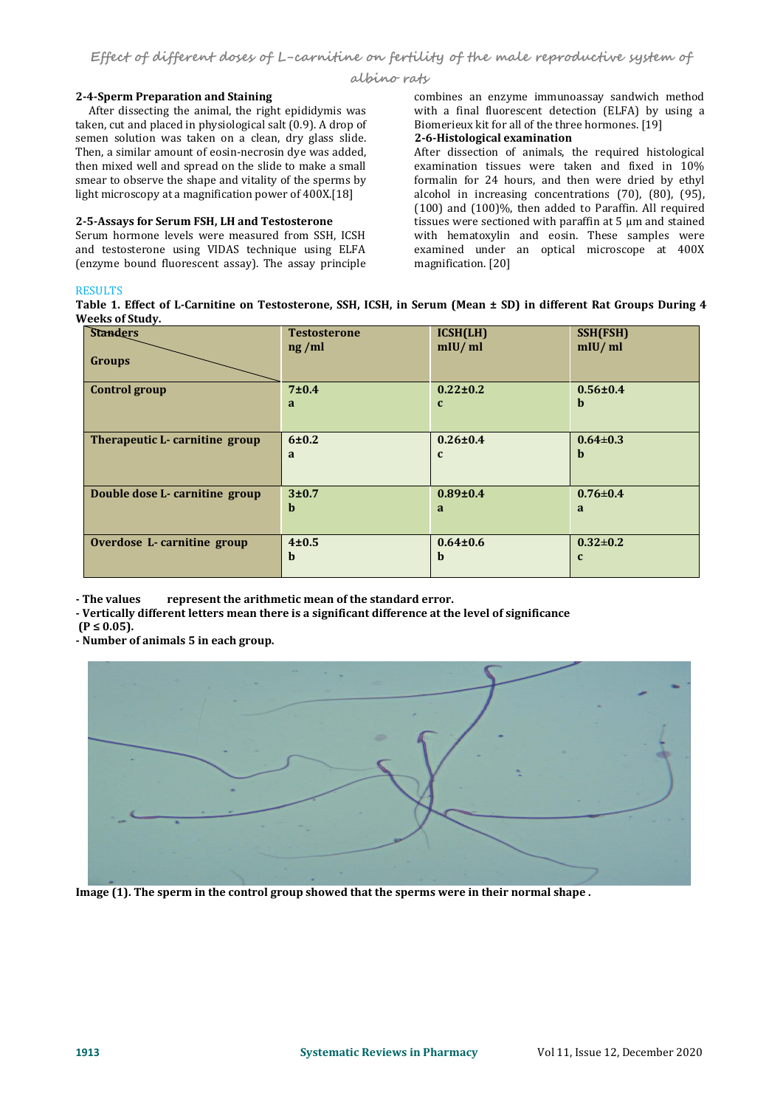**albino rats**

## **2-4-Sperm Preparation and Staining**

After dissecting the animal, the right epididymis was taken, cut and placed in physiological salt (0.9). A drop of semen solution was taken on a clean, dry glass slide. Then, a similar amount of eosin-necrosin dye was added, then mixed well and spread on the slide to make a small smear to observe the shape and vitality of the sperms by light microscopy at a magnification power of 400X.[18]

Serum hormone levels were measured from SSH, ICSH and testosterone using VIDAS technique using ELFA (enzyme bound fluorescent assay). The assay principle

combines an enzyme immunoassay sandwich method with a final fluorescent detection (ELFA) by using a Biomerieux kit for all of the three hormones. [19]

# **2-6-Histological examination**

**2-5-Assays for Serum FSH, LH and Testosterone** After dissection of animals, the required histological examination tissues were taken and fixed in 10% formalin for 24 hours, and then were dried by ethyl alcohol in increasing concentrations (70), (80), (95), (100) and (100)%, then added to Paraffin. All required with hematoxylin and eosin. These samples were examined under an optical microscope at 400X magnification. [20]

# RESULTS **Example**

Table 1. Effect of L-Carnitine on Testosterone, SSH, ICSH, in Serum (Mean ± SD) in different Rat Groups During 4 **Weeks of Study.**

| <b>Standers</b>                | <b>Testosterone</b><br>ng/ml | ICSH(LH)<br>mIU/ml | SSH(FSH)<br>mIU/ml |
|--------------------------------|------------------------------|--------------------|--------------------|
| <b>Groups</b>                  |                              |                    |                    |
| <b>Control group</b>           | $7\pm0.4$                    | $0.22 \pm 0.2$     | $0.56 \pm 0.4$     |
|                                | a                            | $\mathbf{c}$       | b                  |
|                                |                              |                    |                    |
| Therapeutic L-carnitine group  | 6±0.2                        | $0.26 \pm 0.4$     | $0.64 \pm 0.3$     |
|                                | a                            | $\mathbf{c}$       | b                  |
|                                |                              |                    |                    |
| Double dose L- carnitine group | 3±0.7                        | $0.89 \pm 0.4$     | $0.76 \pm 0.4$     |
|                                | b                            | a                  | a                  |
|                                |                              |                    |                    |
| Overdose L-carnitine group     | $4 + 0.5$                    | $0.64 \pm 0.6$     | $0.32 \pm 0.2$     |
|                                | $\mathbf b$                  | b                  | $\mathbf c$        |
|                                |                              |                    |                    |

**- The values represent the arithmetic mean of the standard error.**

**- Vertically different letters mean there is a significant difference at the level of significance**

**(P ≤ 0.05).**

**- Number of animals 5 in each group.**



**Image (1). The sperm in the control group showed that the sperms were in their normal shape .**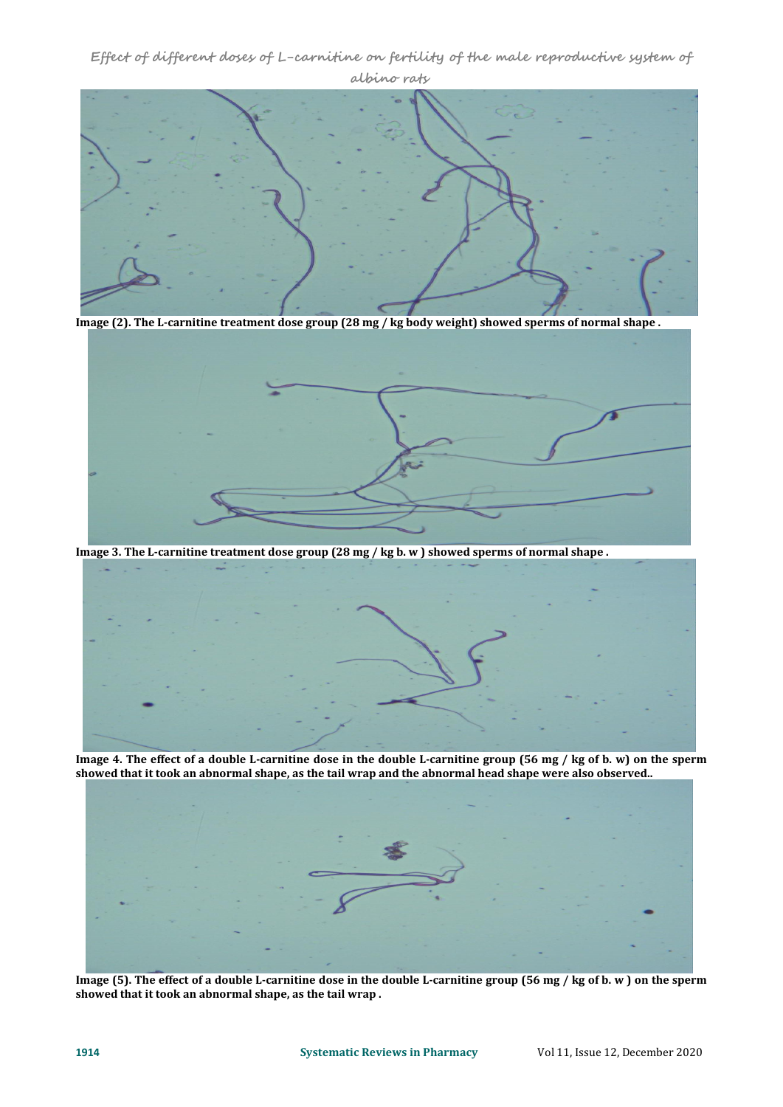**Effect of different doses of L-carnitine on fertility of the male reproductive system of albino rats**



Image (2). The L-carnitine treatment dose group (28 mg / kg body weight) showed sperms of normal shape.



Image 3. The L-carnitine treatment dose group (28 mg / kg b. w ) showed sperms of normal shape.



Image 4. The effect of a double L-carnitine dose in the double L-carnitine group (56 mg / kg of b. w) on the sperm showed that it took an abnormal shape, as the tail wrap and the abnormal head shape were also observed..



Image (5). The effect of a double L-carnitine dose in the double L-carnitine group (56 mg / kg of b. w ) on the sperm **showed that it took an abnormal shape, as the tail wrap .**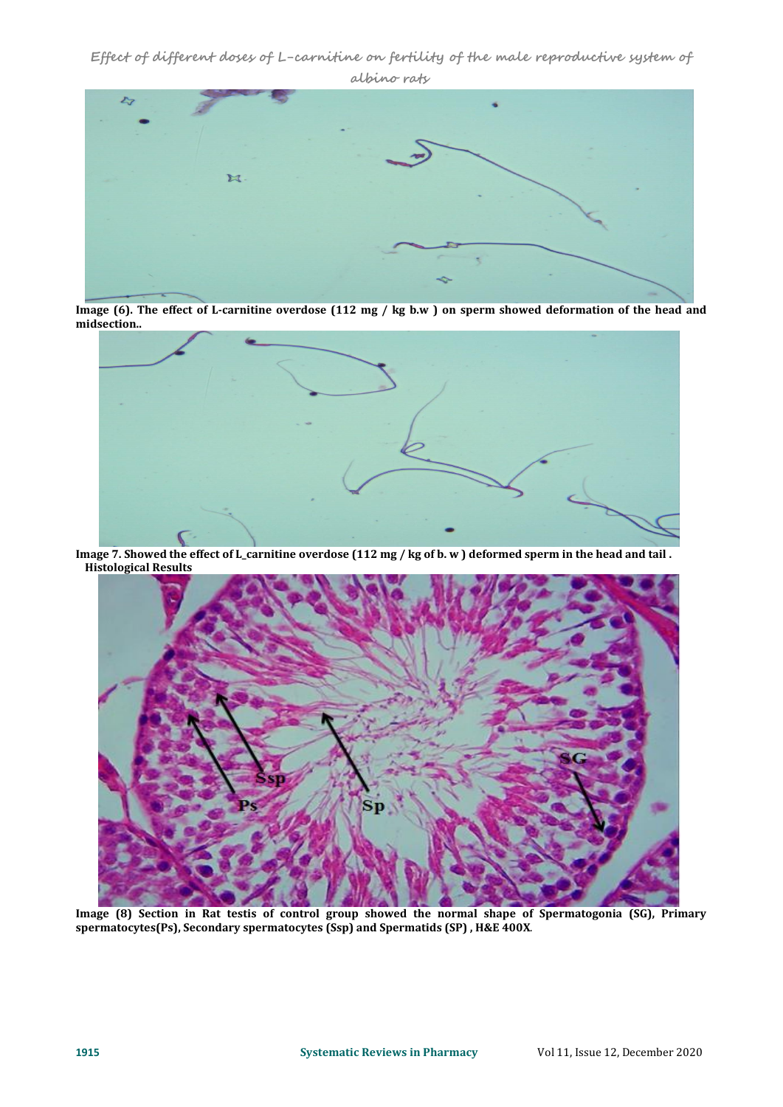**Effect of different doses of L-carnitine on fertility of the male reproductive system of albino rats**



Image (6). The effect of L-carnitine overdose (112 mg / kg b.w ) on sperm showed deformation of the head and **midsection..**



Image 7. Showed the effect of L\_carnitine overdose (112 mg / kg of b. w ) deformed sperm in the head and tail. **Histological Results**



**Image (8) Section in Rat testis of control group showed the normal shape of Spermatogonia (SG), Primary spermatocytes(Ps), Secondary spermatocytes (Ssp) and Spermatids (SP) , H&E 400X**.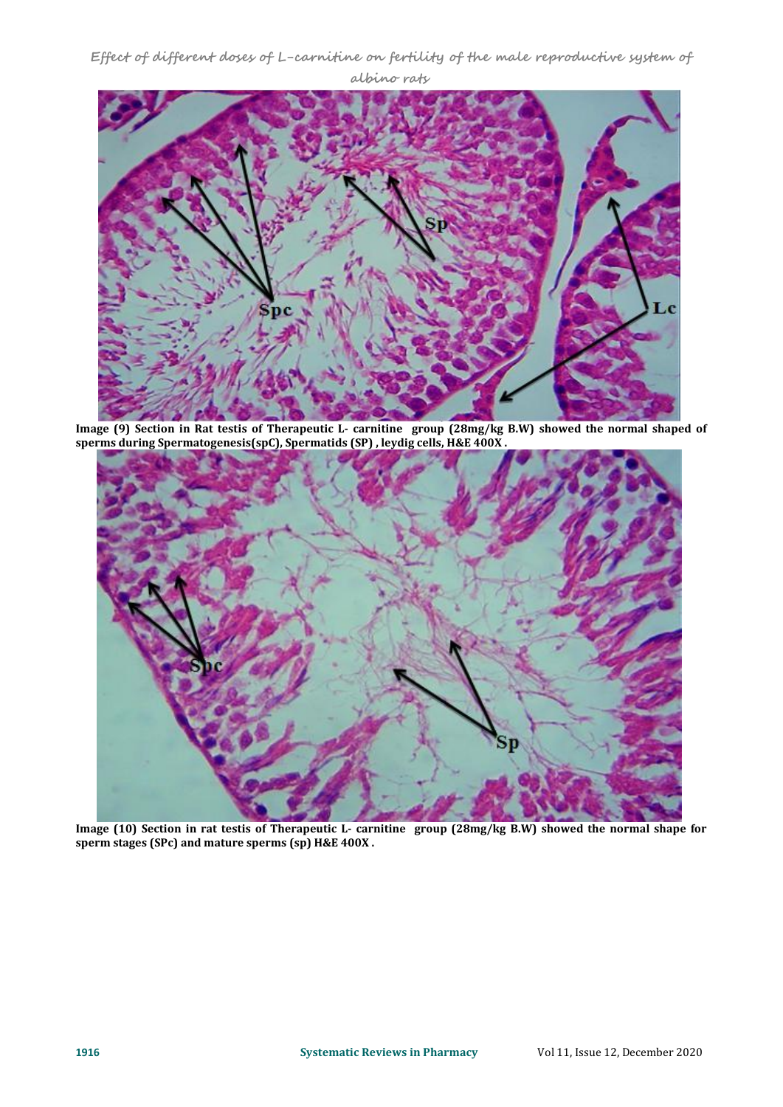**Effect of different doses of L-carnitine on fertility of the male reproductive system of albino rats**



Image (9) Section in Rat testis of Therapeutic L- carnitine group (28mg/kg B.W) showed the normal shaped of **sperms during Spermatogenesis(spC), Spermatids (SP) , leydig cells, H&E 400X .**



Image (10) Section in rat testis of Therapeutic L- carnitine group (28mg/kg B.W) showed the normal shape for **sperm stages (SPc) and mature sperms (sp) H&E 400X .**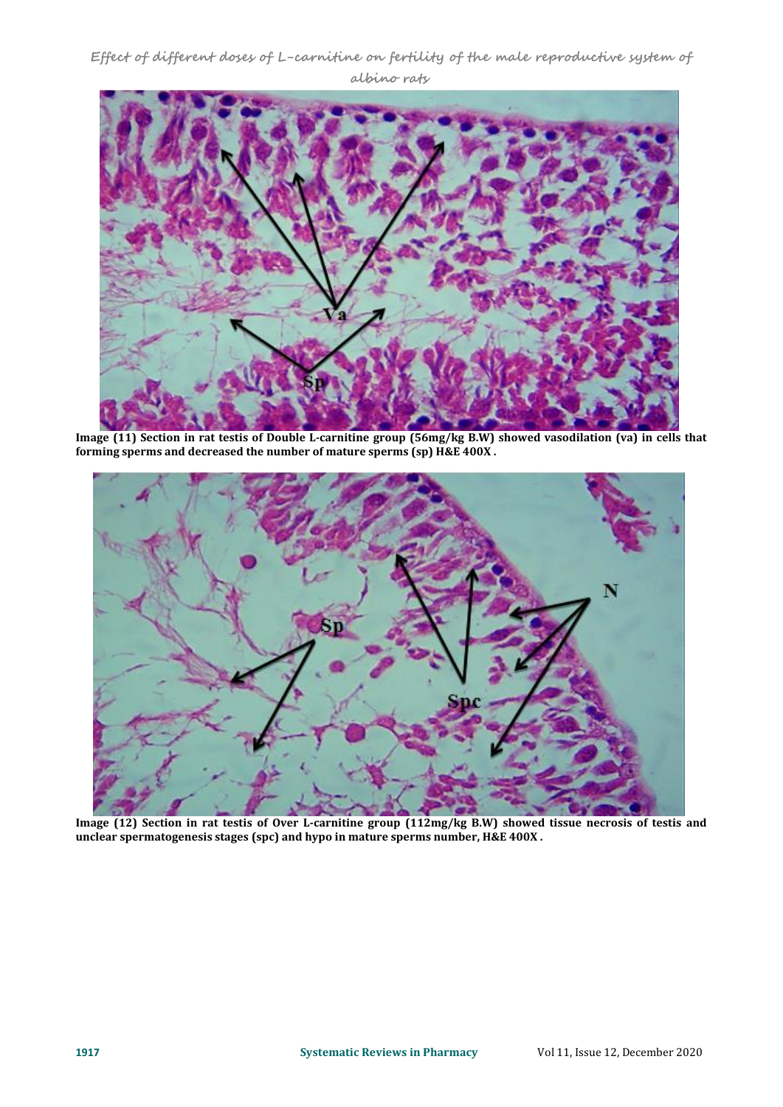# **Effect of different doses of L-carnitine on fertility of the male reproductive system of albino rats**



Image (11) Section in rat testis of Double L-carnitine group (56mg/kg B.W) showed vasodilation (va) in cells that **forming sperms and decreased the number of mature sperms (sp) H&E 400X .**



Image (12) Section in rat testis of Over L-carnitine group (112mg/kg B.W) showed tissue necrosis of testis and **unclear spermatogenesis stages (spc) and hypo in mature sperms number, H&E 400X .**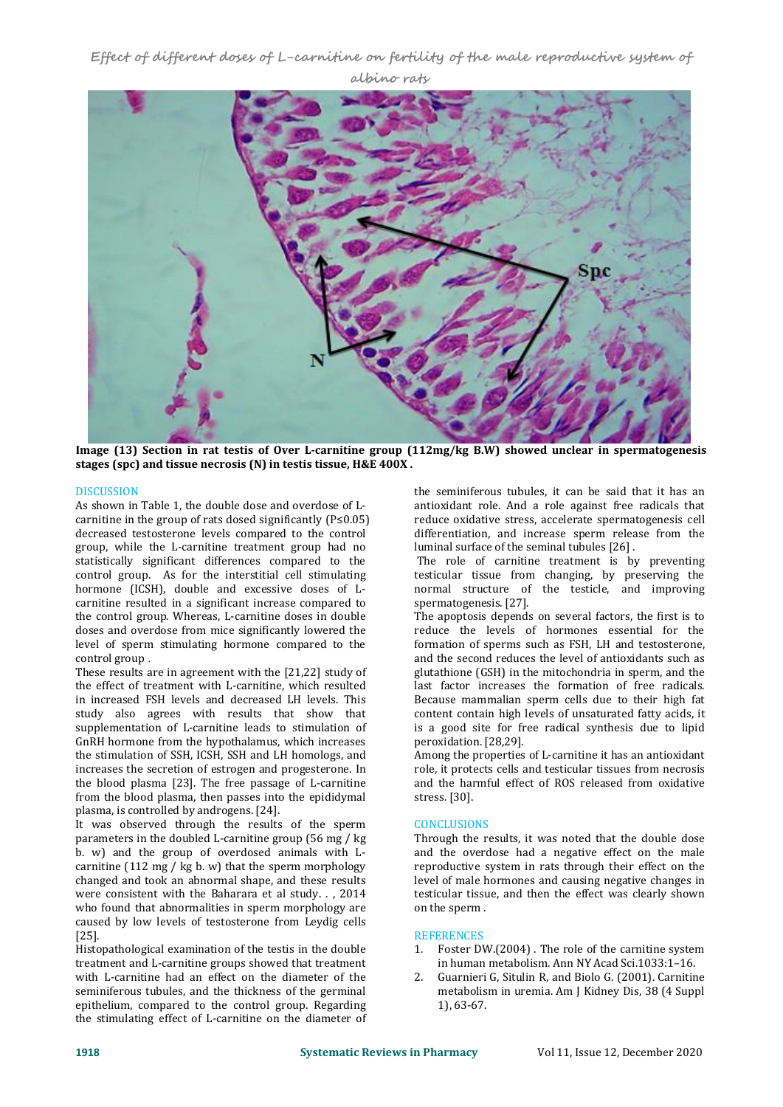**Effect of different doses of L-carnitine on fertility of the male reproductive system of albino rats**



**Image (13)Section in rat testis of Over L-carnitine group (112mg/kg B.W) showed unclear in spermatogenesis stages (spc) and tissue necrosis (N) in testistissue, H&E 400X .**

# DISCUSSION

As shown in Table 1, the double dose and overdose of L carnitine in the group of rats dosed significantly (P≤0.05) decreased testosterone levels compared to the control group, while the L-carnitine treatment group had no statistically significant differences compared to the control group. As for the interstitial cell stimulating hormone (ICSH), double and excessive doses of L carnitine resulted in a significant increase compared to the control group. Whereas, L-carnitine doses in double doses and overdose from mice significantly lowered the level of sperm stimulating hormone compared to the control group .

These results are in agreement with the [21,22] study of the effect of treatment with L-carnitine, which resulted in increased FSH levels and decreased LH levels. This study also agrees with results that show that supplementation of L-carnitine leads to stimulation of GnRH hormone from the hypothalamus, which increases the stimulation of SSH, ICSH, SSH and LH homologs, and increases the secretion of estrogen and progesterone. In the blood plasma [23]. The free passage of L-carnitine from the blood plasma, then passes into the epididymal plasma, is controlled by androgens. [24].

It was observed through the results of the sperm parameters in the doubled L-carnitine group (56 mg / kg b. w) and the group of overdosed animals with L carnitine  $(112 \text{ mg} / \text{ kg b. w})$  that the sperm morphology changed and took an abnormal shape, and these results were consistent with the Baharara et al study. . , 2014 who found that abnormalities in sperm morphology are caused by low levels of testosterone from Leydig cells<br>[25] REFERENCES [25].

Histopathological examination of the testis in the double treatment and L-carnitine groups showed that treatment<br>with L-carnitine had an effect on the diameter of the 2 with L-carnitine had an effect on the diameter of the seminiferous tubules, and the thickness of the germinal epithelium, compared to the control group. Regarding the stimulating effect of L-carnitine on the diameter of

the seminiferous tubules, it can be said that it has an antioxidant role. And a role against free radicals that reduce oxidative stress, accelerate spermatogenesis cell differentiation, and increase sperm release from the luminal surface of the seminal tubules [26] .

The role of carnitine treatment is by preventing testicular tissue from changing, by preserving the normal structure of the testicle, and improving spermatogenesis. [27].

The apoptosis depends on several factors, the first is to reduce the levels of hormones essential for the formation of sperms such as FSH, LH and testosterone, and the second reduces the level of antioxidants such as glutathione (GSH) in the mitochondria in sperm, and the last factor increases the formation of free radicals. Because mammalian sperm cells due to their high fat content contain high levels of unsaturated fatty acids, it is a good site for free radical synthesis due to lipid peroxidation. [28,29].

Among the properties of L-carnitine it has an antioxidant role, it protects cells and testicular tissues from necrosis and the harmful effect of ROS released from oxidative stress. [30].

### **CONCLUSIONS**

Through the results, it was noted that the double dose and the overdose had a negative effect on the male reproductive system in rats through their effect on the level of male hormones and causing negative changes in testicular tissue, and then the effect was clearly shown on the sperm .

# **REFERENCES**

- 1. Foster DW.(2004) . The role of the carnitine system in human metabolism. Ann NY Acad Sci.1033:1–16.
- 2. Guarnieri G, Situlin R, and Biolo G. (2001). Carnitine metabolism in uremia. Am J Kidney Dis, 38 (4 Suppl 1), 63-67.